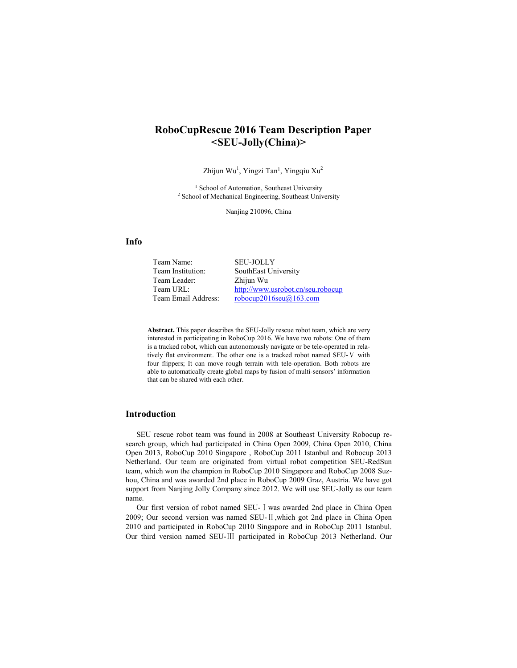# **RoboCupRescue 2016 Team Description Paper <SEU-Jolly(China)>**

Zhijun Wu<sup>1</sup>, Yingzi Tan<sup>1</sup>, Yingqiu Xu<sup>2</sup>

<sup>1</sup> School of Automation, Southeast University <sup>2</sup> School of Mechanical Engineering, Southeast University

Nanjing 210096, China

## **Info**

Team Name: SEU-JOLLY Team Institution: SouthEast University Team Leader: Zhijun Wu Team URL: http://www.usrobot.cn/seu.robocup Team Email Address: robocup2016seu@163.com

**Abstract.** This paper describes the SEU-Jolly rescue robot team, which are very interested in participating in RoboCup 2016. We have two robots: One of them is a tracked robot, which can autonomously navigate or be tele-operated in relatively flat environment. The other one is a tracked robot named SEU-Ⅴ with four flippers; It can move rough terrain with tele-operation. Both robots are able to automatically create global maps by fusion of multi-sensors' information that can be shared with each other.

### **Introduction**

SEU rescue robot team was found in 2008 at Southeast University Robocup research group, which had participated in China Open 2009, China Open 2010, China Open 2013, RoboCup 2010 Singapore , RoboCup 2011 Istanbul and Robocup 2013 Netherland. Our team are originated from virtual robot competition SEU-RedSun team, which won the champion in RoboCup 2010 Singapore and RoboCup 2008 Suzhou, China and was awarded 2nd place in RoboCup 2009 Graz, Austria. We have got support from Nanjing Jolly Company since 2012. We will use SEU-Jolly as our team name.

Our first version of robot named SEU-Ⅰwas awarded 2nd place in China Open 2009; Our second version was named SEU-Ⅱ,which got 2nd place in China Open 2010 and participated in RoboCup 2010 Singapore and in RoboCup 2011 Istanbul. Our third version named SEU-Ⅲ participated in RoboCup 2013 Netherland. Our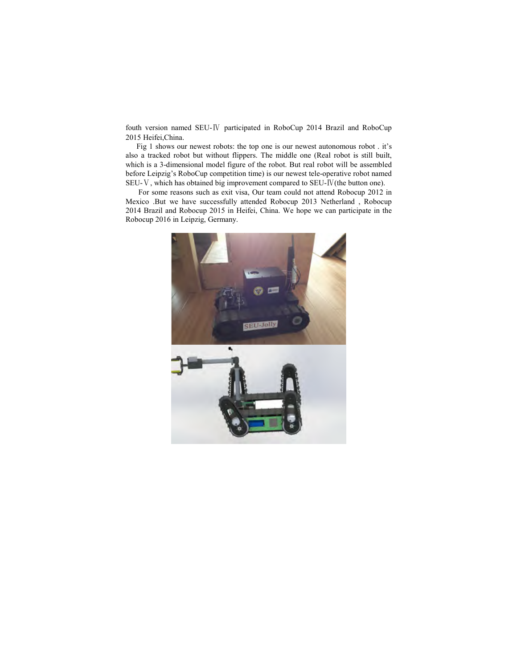fouth version named SEU-Ⅳ participated in RoboCup 2014 Brazil and RoboCup 2015 Heifei,China.

Fig 1 shows our newest robots: the top one is our newest autonomous robot . it's also a tracked robot but without flippers. The middle one (Real robot is still built, which is a 3-dimensional model figure of the robot. But real robot will be assembled before Leipzig's RoboCup competition time) is our newest tele-operative robot named SEU-Ⅴ, which has obtained big improvement compared to SEU-Ⅳ(the button one).

 For some reasons such as exit visa, Our team could not attend Robocup 2012 in Mexico .But we have successfully attended Robocup 2013 Netherland , Robocup 2014 Brazil and Robocup 2015 in Heifei, China. We hope we can participate in the Robocup 2016 in Leipzig, Germany.

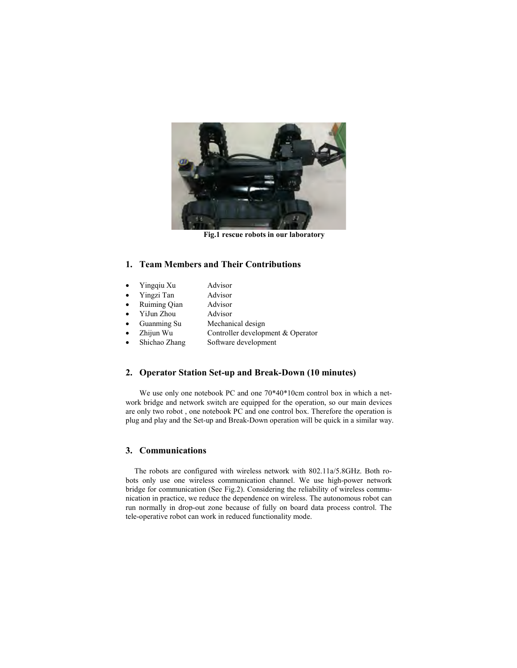

**Fig.1 rescue robots in our laboratory** 

## **1. Team Members and Their Contributions**

| Yingqiu Xu    | Advisor                           |
|---------------|-----------------------------------|
| Yingzi Tan    | Advisor                           |
| Ruiming Qian  | Advisor                           |
| YiJun Zhou    | Advisor                           |
| Guanming Su   | Mechanical design                 |
| Zhijun Wu     | Controller development & Operator |
| Shichao Zhang | Software development              |
|               |                                   |

## **2. Operator Station Set-up and Break-Down (10 minutes)**

We use only one notebook PC and one 70\*40\*10cm control box in which a network bridge and network switch are equipped for the operation, so our main devices are only two robot , one notebook PC and one control box. Therefore the operation is plug and play and the Set-up and Break-Down operation will be quick in a similar way.

## **3. Communications**

The robots are configured with wireless network with 802.11a/5.8GHz. Both robots only use one wireless communication channel. We use high-power network bridge for communication (See Fig.2). Considering the reliability of wireless communication in practice, we reduce the dependence on wireless. The autonomous robot can run normally in drop-out zone because of fully on board data process control. The tele-operative robot can work in reduced functionality mode.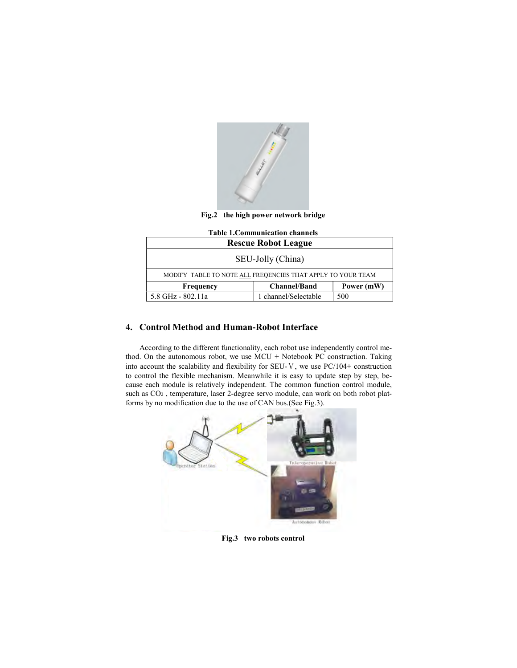

**Fig.2 the high power network bridge** 

| <b>Table 1. Communication channels</b>                      |                     |            |  |  |  |
|-------------------------------------------------------------|---------------------|------------|--|--|--|
| <b>Rescue Robot League</b>                                  |                     |            |  |  |  |
| SEU-Jolly (China)                                           |                     |            |  |  |  |
| MODIFY TABLE TO NOTE ALL FREQENCIES THAT APPLY TO YOUR TEAM |                     |            |  |  |  |
| Frequency                                                   | <b>Channel/Band</b> | Power (mW) |  |  |  |
| 5.8 GHz - 802.11a                                           | channel/Selectable  | 500        |  |  |  |

## **4. Control Method and Human-Robot Interface**

According to the different functionality, each robot use independently control method. On the autonomous robot, we use MCU + Notebook PC construction. Taking into account the scalability and flexibility for SEU-Ⅴ, we use PC/104+ construction to control the flexible mechanism. Meanwhile it is easy to update step by step, because each module is relatively independent. The common function control module, such as CO2 , temperature, laser 2-degree servo module, can work on both robot platforms by no modification due to the use of CAN bus.(See Fig.3).



### **Fig.3 two robots control**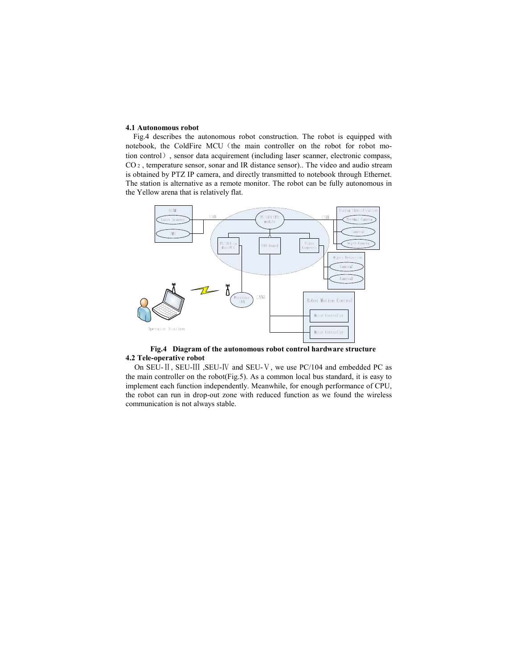#### **4.1 Autonomous robot**

Fig.4 describes the autonomous robot construction. The robot is equipped with notebook, the ColdFire MCU (the main controller on the robot for robot motion control), sensor data acquirement (including laser scanner, electronic compass, CO 2 , temperature sensor, sonar and IR distance sensor).. The video and audio stream is obtained by PTZ IP camera, and directly transmitted to notebook through Ethernet. The station is alternative as a remote monitor. The robot can be fully autonomous in the Yellow arena that is relatively flat.



**Fig.4 Diagram of the autonomous robot control hardware structure 4.2 Tele-operative robot** 

On SEU-Ⅱ, SEU-Ⅲ ,SEU-Ⅳ and SEU-Ⅴ, we use PC/104 and embedded PC as the main controller on the robot(Fig.5). As a common local bus standard, it is easy to implement each function independently. Meanwhile, for enough performance of CPU, the robot can run in drop-out zone with reduced function as we found the wireless communication is not always stable.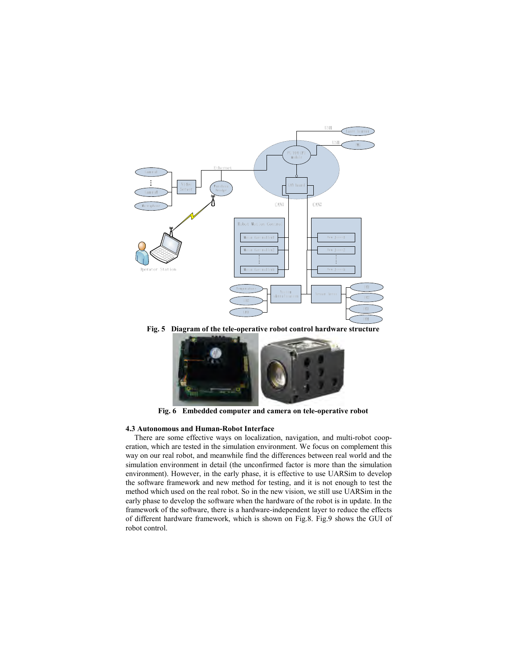

**Fig. 5 Diagram of the tele-operative robot control hardware structure** 



**Fig. 6 Embedded computer and camera on tele-operative robot** 

#### **4.3 Autonomous and Human-Robot Interface**

There are some effective ways on localization, navigation, and multi-robot cooperation, which are tested in the simulation environment. We focus on complement this way on our real robot, and meanwhile find the differences between real world and the simulation environment in detail (the unconfirmed factor is more than the simulation environment). However, in the early phase, it is effective to use UARSim to develop the software framework and new method for testing, and it is not enough to test the method which used on the real robot. So in the new vision, we still use UARSim in the early phase to develop the software when the hardware of the robot is in update. In the framework of the software, there is a hardware-independent layer to reduce the effects of different hardware framework, which is shown on Fig.8. Fig.9 shows the GUI of robot control.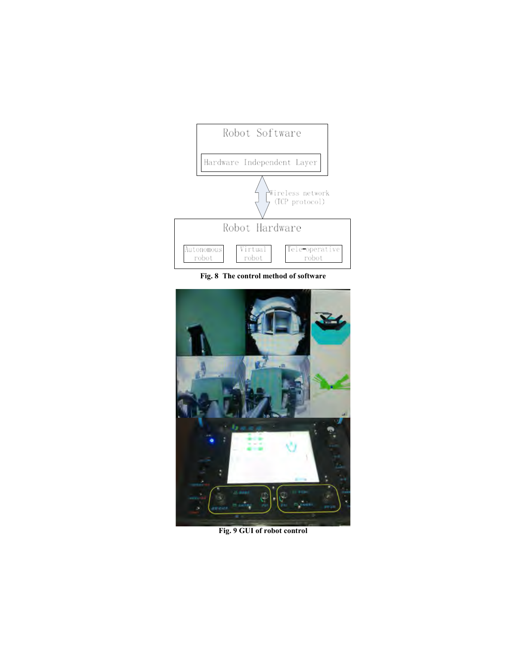

**Fig. 8 The control method of software** 



**Fig. 9 GUI of robot control**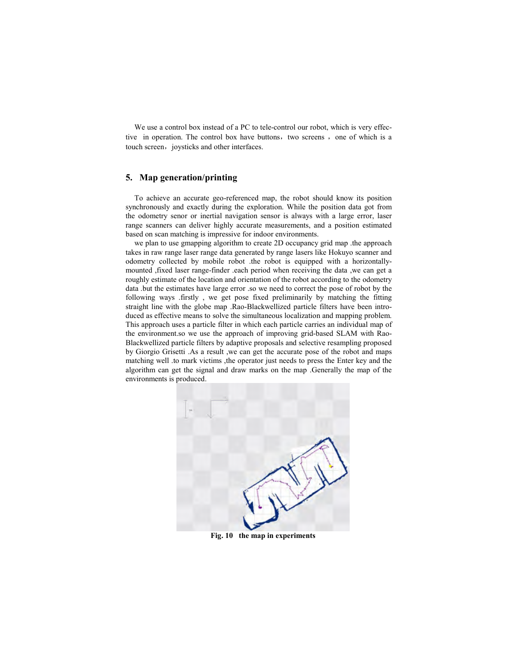We use a control box instead of a PC to tele-control our robot, which is very effective in operation. The control box have buttons, two screens, one of which is a touch screen, joysticks and other interfaces.

### **5. Map generation/printing**

To achieve an accurate geo-referenced map, the robot should know its position synchronously and exactly during the exploration. While the position data got from the odometry senor or inertial navigation sensor is always with a large error, laser range scanners can deliver highly accurate measurements, and a position estimated based on scan matching is impressive for indoor environments.

we plan to use gmapping algorithm to create 2D occupancy grid map .the approach takes in raw range laser range data generated by range lasers like Hokuyo scanner and odometry collected by mobile robot .the robot is equipped with a horizontallymounted ,fixed laser range-finder .each period when receiving the data ,we can get a roughly estimate of the location and orientation of the robot according to the odometry data .but the estimates have large error .so we need to correct the pose of robot by the following ways .firstly , we get pose fixed preliminarily by matching the fitting straight line with the globe map .Rao-Blackwellized particle filters have been introduced as effective means to solve the simultaneous localization and mapping problem. This approach uses a particle filter in which each particle carries an individual map of the environment.so we use the approach of improving grid-based SLAM with Rao-Blackwellized particle filters by adaptive proposals and selective resampling proposed by Giorgio Grisetti .As a result ,we can get the accurate pose of the robot and maps matching well .to mark victims ,the operator just needs to press the Enter key and the algorithm can get the signal and draw marks on the map .Generally the map of the environments is produced.



**Fig. 10 the map in experiments**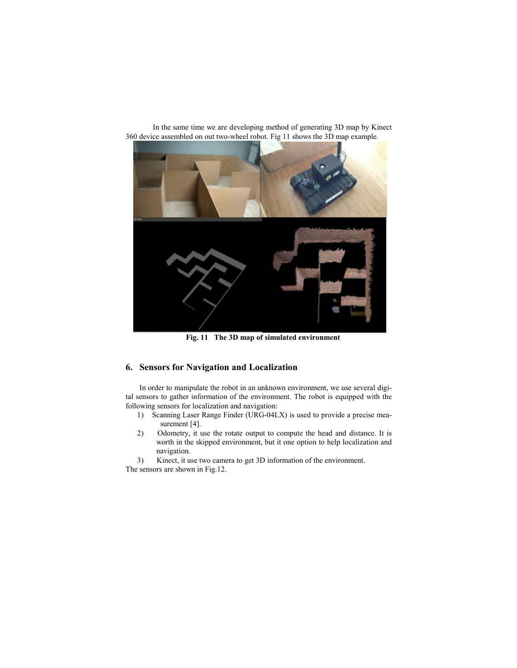

 In the same time we are developing method of generating 3D map by Kinect 360 device assembled on out two-wheel robot. Fig 11 shows the 3D map example.

**Fig. 11 The 3D map of simulated environment** 

# **6. Sensors for Navigation and Localization**

In order to manipulate the robot in an unknown environment, we use several digital sensors to gather information of the environment. The robot is equipped with the following sensors for localization and navigation:

- 1) Scanning Laser Range Finder (URG-04LX) is used to provide a precise measurement [4].
- 2) Odometry, it use the rotate output to compute the head and distance. It is worth in the skipped environment, but it one option to help localization and navigation.

3) Kinect, it use two camera to get 3D information of the environment. The sensors are shown in Fig.12.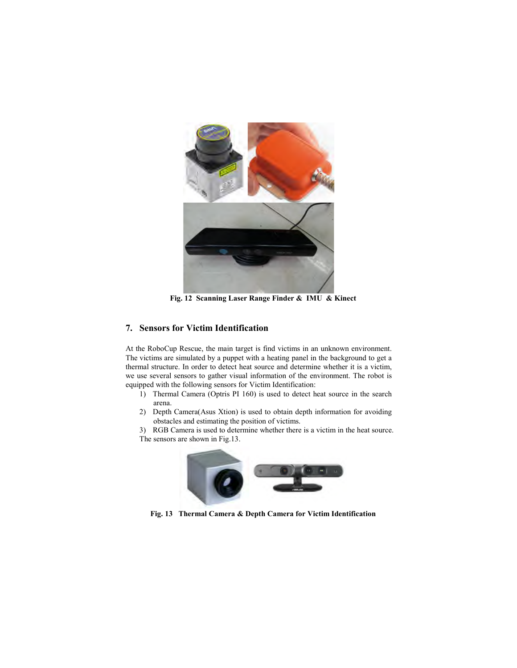

**Fig. 12 Scanning Laser Range Finder & IMU & Kinect** 

## **7. Sensors for Victim Identification**

At the RoboCup Rescue, the main target is find victims in an unknown environment. The victims are simulated by a puppet with a heating panel in the background to get a thermal structure. In order to detect heat source and determine whether it is a victim, we use several sensors to gather visual information of the environment. The robot is equipped with the following sensors for Victim Identification:

- 1) Thermal Camera (Optris PI 160) is used to detect heat source in the search arena.
- 2) Depth Camera(Asus Xtion) is used to obtain depth information for avoiding obstacles and estimating the position of victims.

3) RGB Camera is used to determine whether there is a victim in the heat source. The sensors are shown in Fig.13.



**Fig. 13 Thermal Camera & Depth Camera for Victim Identification**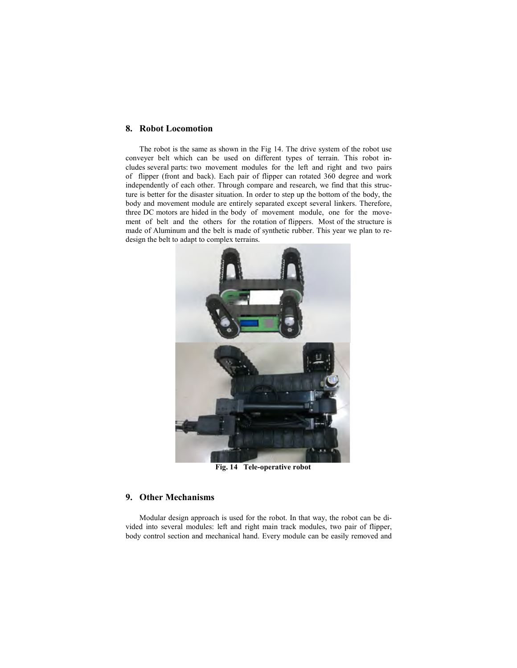#### **8. Robot Locomotion**

The robot is the same as shown in the Fig 14. The drive system of the robot use conveyer belt which can be used on different types of terrain. This robot includes several parts: two movement modules for the left and right and two pairs of flipper (front and back). Each pair of flipper can rotated 360 degree and work independently of each other. Through compare and research, we find that this structure is better for the disaster situation. In order to step up the bottom of the body, the body and movement module are entirely separated except several linkers. Therefore, three DC motors are hided in the body of movement module, one for the movement of belt and the others for the rotation of flippers. Most of the structure is made of Aluminum and the belt is made of synthetic rubber. This year we plan to redesign the belt to adapt to complex terrains.



**Fig. 14 Tele-operative robot** 

## **9. Other Mechanisms**

Modular design approach is used for the robot. In that way, the robot can be divided into several modules: left and right main track modules, two pair of flipper, body control section and mechanical hand. Every module can be easily removed and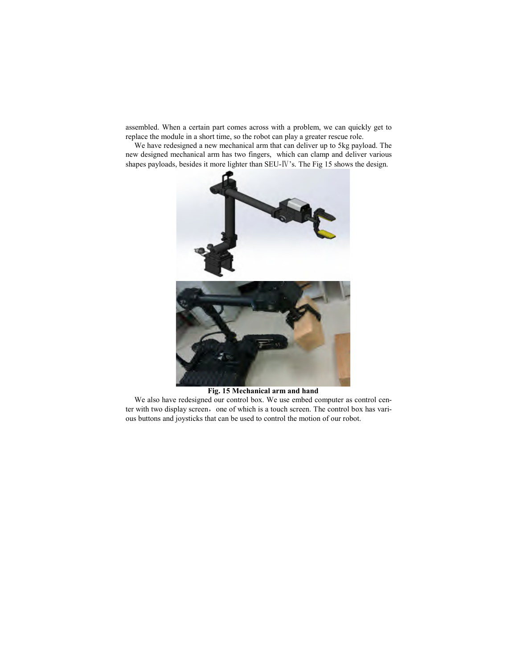assembled. When a certain part comes across with a problem, we can quickly get to replace the module in a short time, so the robot can play a greater rescue role.

We have redesigned a new mechanical arm that can deliver up to 5kg payload. The new designed mechanical arm has two fingers, which can clamp and deliver various shapes payloads, besides it more lighter than SEU-Ⅳ's. The Fig 15 shows the design.



### **Fig. 15 Mechanical arm and hand**

We also have redesigned our control box. We use embed computer as control center with two display screen, one of which is a touch screen. The control box has various buttons and joysticks that can be used to control the motion of our robot.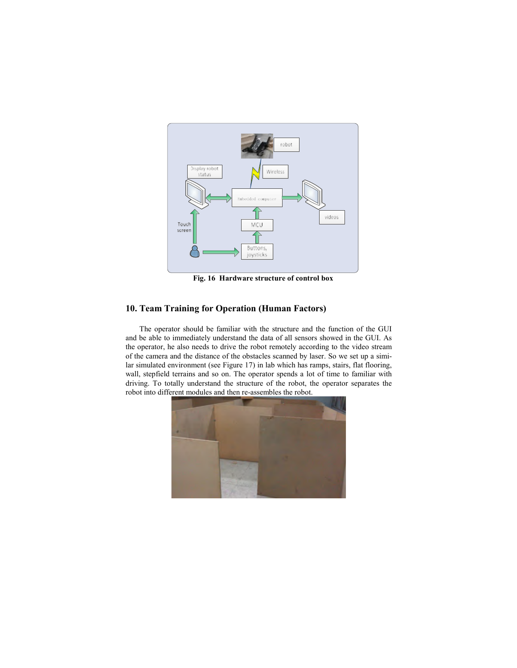

**Fig. 16 Hardware structure of control box** 

## **10. Team Training for Operation (Human Factors)**

The operator should be familiar with the structure and the function of the GUI and be able to immediately understand the data of all sensors showed in the GUI. As the operator, he also needs to drive the robot remotely according to the video stream of the camera and the distance of the obstacles scanned by laser. So we set up a similar simulated environment (see Figure 17) in lab which has ramps, stairs, flat flooring, wall, stepfield terrains and so on. The operator spends a lot of time to familiar with driving. To totally understand the structure of the robot, the operator separates the robot into different modules and then re-assembles the robot.

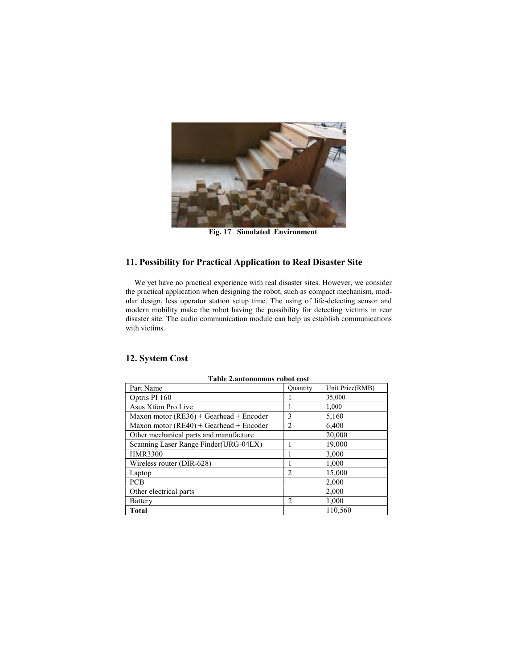

**Fig. 17 Simulated Environment** 

# **11. Possibility for Practical Application to Real Disaster Site**

We yet have no practical experience with real disaster sites. However, we consider the practical application when designing the robot, such as compact mechanism, modular design, less operator station setup time. The using of life-detecting sensor and modern mobility make the robot having the possibility for detecting victims in rear disaster site. The audio communication module can help us establish communications with victims.

| Table 2.autonomous robot cost             |                 |                 |  |  |  |
|-------------------------------------------|-----------------|-----------------|--|--|--|
| Part Name                                 | <b>Quantity</b> | Unit Price(RMB) |  |  |  |
| Optris PI 160                             |                 | 35,000          |  |  |  |
| Asus Xtion Pro Live                       |                 | 1,000           |  |  |  |
| Maxon motor $(RE36) + Gearhead + Encoder$ | 3               | 5,160           |  |  |  |
| Maxon motor $(RE40) + Gearhead + Encoder$ | 2               | 6,400           |  |  |  |
| Other mechanical parts and manufacture    |                 | 20,000          |  |  |  |
| Scanning Laser Range Finder(URG-04LX)     |                 | 19,000          |  |  |  |
| <b>HMR3300</b>                            |                 | 3,000           |  |  |  |
| Wireless router (DIR-628)                 |                 | 1,000           |  |  |  |
| Laptop                                    | $\mathfrak{D}$  | 15,000          |  |  |  |
| <b>PCB</b>                                |                 | 2,000           |  |  |  |
| Other electrical parts                    |                 | 2,000           |  |  |  |
| Battery                                   | 2               | 1,000           |  |  |  |
| Total                                     |                 | 110.560         |  |  |  |

## **12. System Cost**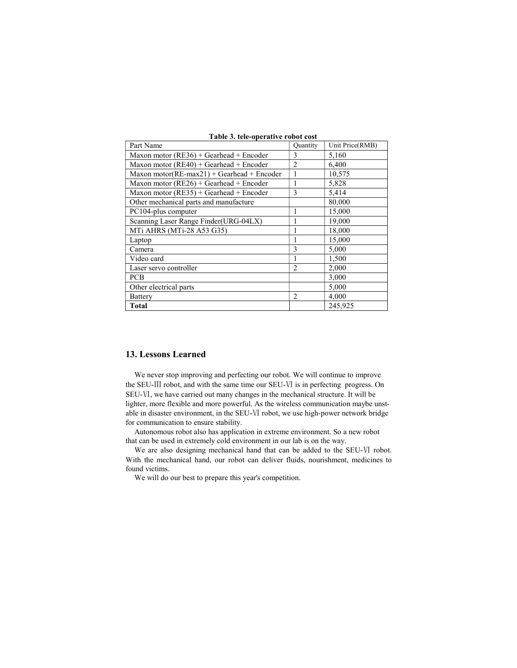| Part Name                                          | Quantity       | Unit Price(RMB) |
|----------------------------------------------------|----------------|-----------------|
| Maxon motor ( $RE36$ ) + Gearhead + Encoder        | 3              | 5,160           |
| Maxon motor $(RE40) + Gearhead + Encoder$          | $\mathfrak{D}$ | 6,400           |
| Maxon motor( $RE$ -max $21$ ) + Gearhead + Encoder | 1              | 10,575          |
| Maxon motor ( $RE26$ ) + Gearhead + Encoder        |                | 5,828           |
| Maxon motor $(RE35)$ + Gearhead + Encoder          | 3              | 5,414           |
| Other mechanical parts and manufacture             |                | 80,000          |
| PC104-plus computer                                | 1              | 15,000          |
| Scanning Laser Range Finder(URG-04LX)              | 1              | 19,000          |
| MTi AHRS (MTi-28 A53 G35)                          |                | 18,000          |
| Laptop                                             | 1              | 15,000          |
| Camera                                             | 3              | 5,000           |
| Video card                                         | 1              | 1,500           |
| Laser servo controller                             | $\overline{2}$ | 2,000           |
| <b>PCB</b>                                         |                | 3,000           |
| Other electrical parts                             |                | 5,000           |
| Battery                                            | $\overline{c}$ | 4,000           |
| Total                                              |                | 245.925         |

**Table 3. tele-operative robot cost** 

### **13. Lessons Learned**

We never stop improving and perfecting our robot. We will continue to improve the SEU-Ⅲ robot, and with the same time our SEU-Ⅵ is in perfecting progress. On SEU-Ⅵ, we have carried out many changes in the mechanical structure. It will be lighter, more flexible and more powerful. As the wireless communication maybe unstable in disaster environment, in the SEU-Ⅵ robot, we use high-power network bridge for communication to ensure stability.

Autonomous robot also has application in extreme environment. So a new robot that can be used in extremely cold environment in our lab is on the way.

We are also designing mechanical hand that can be added to the SEU-Ⅵ robot. With the mechanical hand, our robot can deliver fluids, nourishment, medicines to found victims.

We will do our best to prepare this year's competition.